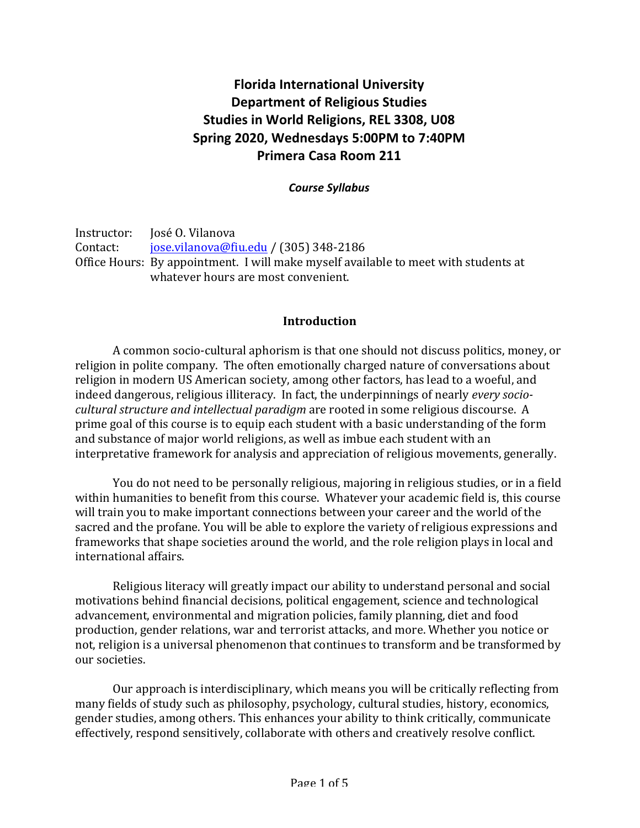# **Florida International University Department of Religious Studies Studies in World Religions, REL 3308, U08** Spring 2020, Wednesdays 5:00PM to 7:40PM **Primera Casa Room 211**

### *Course Syllabus*

Instructor: Iosé O. Vilanova Contact: jose.vilanova@fiu.edu / (305) 348-2186 Office Hours: By appointment. I will make myself available to meet with students at whatever hours are most convenient.

### **Introduction**

A common socio-cultural aphorism is that one should not discuss politics, money, or religion in polite company. The often emotionally charged nature of conversations about religion in modern US American society, among other factors, has lead to a woeful, and indeed dangerous, religious illiteracy. In fact, the underpinnings of nearly *every sociocultural structure and intellectual paradigm* are rooted in some religious discourse. A prime goal of this course is to equip each student with a basic understanding of the form and substance of major world religions, as well as imbue each student with an interpretative framework for analysis and appreciation of religious movements, generally.

You do not need to be personally religious, majoring in religious studies, or in a field within humanities to benefit from this course. Whatever your academic field is, this course will train you to make important connections between your career and the world of the sacred and the profane. You will be able to explore the variety of religious expressions and frameworks that shape societies around the world, and the role religion plays in local and international affairs.

Religious literacy will greatly impact our ability to understand personal and social motivations behind financial decisions, political engagement, science and technological advancement, environmental and migration policies, family planning, diet and food production, gender relations, war and terrorist attacks, and more. Whether you notice or not, religion is a universal phenomenon that continues to transform and be transformed by our societies.

Our approach is interdisciplinary, which means you will be critically reflecting from many fields of study such as philosophy, psychology, cultural studies, history, economics, gender studies, among others. This enhances your ability to think critically, communicate effectively, respond sensitively, collaborate with others and creatively resolve conflict.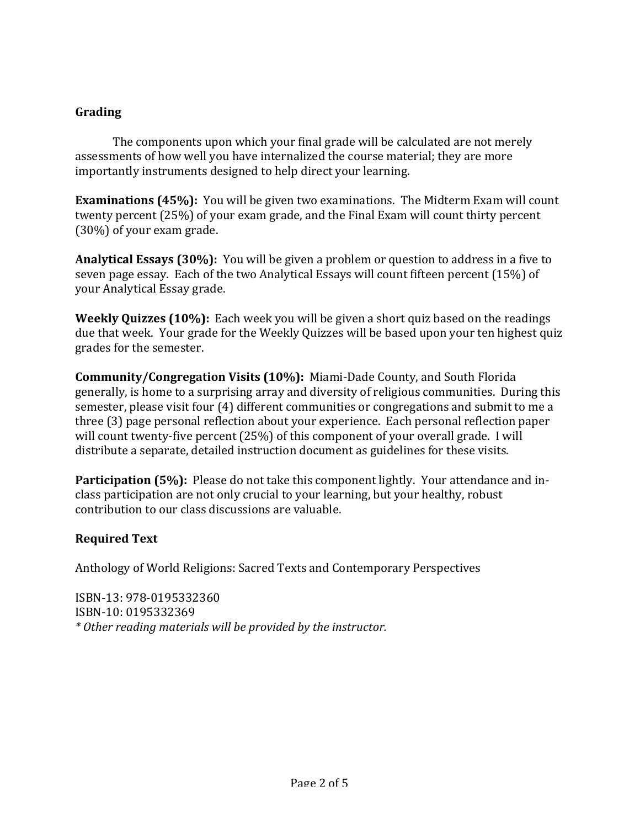### **Grading**

The components upon which your final grade will be calculated are not merely assessments of how well you have internalized the course material; they are more importantly instruments designed to help direct your learning.

**Examinations (45%):** You will be given two examinations. The Midterm Exam will count twenty percent (25%) of your exam grade, and the Final Exam will count thirty percent  $(30\%)$  of your exam grade.

**Analytical Essays (30%):** You will be given a problem or question to address in a five to seven page essay. Each of the two Analytical Essays will count fifteen percent (15%) of your Analytical Essay grade.

**Weekly Quizzes (10%):** Each week you will be given a short quiz based on the readings due that week. Your grade for the Weekly Quizzes will be based upon your ten highest quiz grades for the semester.

**Community/Congregation Visits (10%):** Miami-Dade County, and South Florida generally, is home to a surprising array and diversity of religious communities. During this semester, please visit four (4) different communities or congregations and submit to me a three (3) page personal reflection about your experience. Each personal reflection paper will count twenty-five percent  $(25%)$  of this component of your overall grade. I will distribute a separate, detailed instruction document as guidelines for these visits.

**Participation (5%):** Please do not take this component lightly. Your attendance and inclass participation are not only crucial to your learning, but your healthy, robust contribution to our class discussions are valuable.

## **Required Text**

Anthology of World Religions: Sacred Texts and Contemporary Perspectives

ISBN-13: 978-0195332360 ISBN-10: 0195332369 *\* Other reading materials will be provided by the instructor.*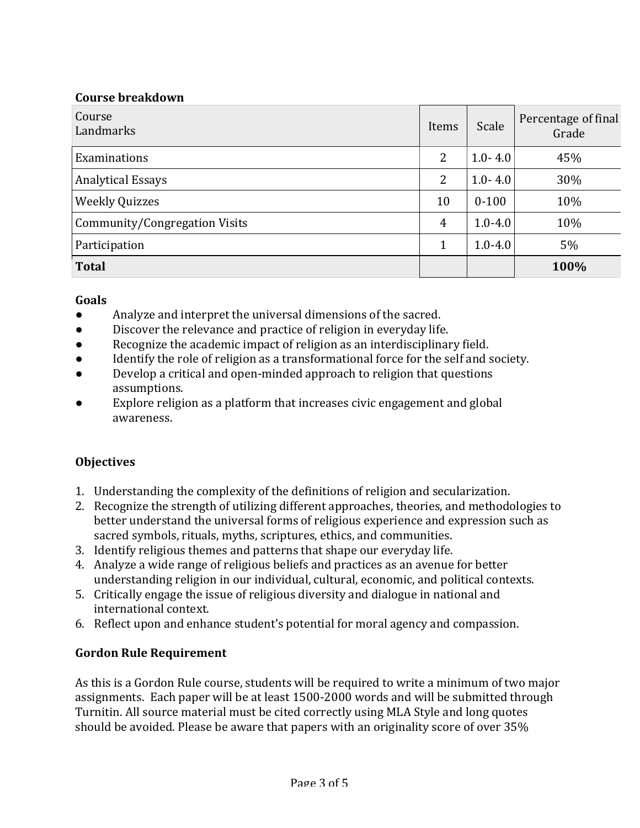### **Course breakdown**

| Course<br>Landmarks           | Items          | Scale       | Percentage of final<br>Grade |
|-------------------------------|----------------|-------------|------------------------------|
| Examinations                  | $\overline{2}$ | $1.0 - 4.0$ | 45%                          |
| <b>Analytical Essays</b>      | 2              | $1.0 - 4.0$ | 30%                          |
| <b>Weekly Quizzes</b>         | 10             | $0 - 100$   | 10%                          |
| Community/Congregation Visits | $\overline{4}$ | $1.0 - 4.0$ | 10%                          |
| Participation                 | $\mathbf 1$    | $1.0 - 4.0$ | 5%                           |
| <b>Total</b>                  |                |             | 100%                         |

### **Goals**

- Analyze and interpret the universal dimensions of the sacred.
- Discover the relevance and practice of religion in everyday life.
- Recognize the academic impact of religion as an interdisciplinary field.
- Identify the role of religion as a transformational force for the self and society.
- Develop a critical and open-minded approach to religion that questions assumptions.
- Explore religion as a platform that increases civic engagement and global awareness.

## **Objectives**

- 1. Understanding the complexity of the definitions of religion and secularization.
- 2. Recognize the strength of utilizing different approaches, theories, and methodologies to better understand the universal forms of religious experience and expression such as sacred symbols, rituals, myths, scriptures, ethics, and communities.
- 3. Identify religious themes and patterns that shape our everyday life.
- 4. Analyze a wide range of religious beliefs and practices as an avenue for better understanding religion in our individual, cultural, economic, and political contexts.
- 5. Critically engage the issue of religious diversity and dialogue in national and international context.
- 6. Reflect upon and enhance student's potential for moral agency and compassion.

## **Gordon Rule Requirement**

As this is a Gordon Rule course, students will be required to write a minimum of two major assignments. Each paper will be at least 1500-2000 words and will be submitted through Turnitin. All source material must be cited correctly using MLA Style and long quotes should be avoided. Please be aware that papers with an originality score of over 35%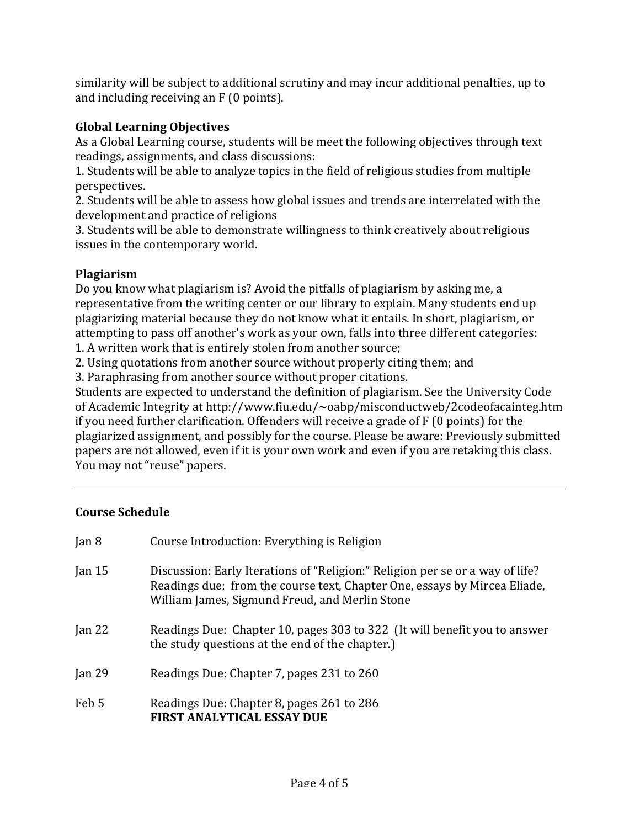similarity will be subject to additional scrutiny and may incur additional penalties, up to and including receiving an  $F(0 \text{ points})$ .

# **Global Learning Objectives**

As a Global Learning course, students will be meet the following objectives through text readings, assignments, and class discussions:

1. Students will be able to analyze topics in the field of religious studies from multiple perspectives.

2. Students will be able to assess how global issues and trends are interrelated with the development and practice of religions

3. Students will be able to demonstrate willingness to think creatively about religious issues in the contemporary world.

## **Plagiarism**

Do you know what plagiarism is? Avoid the pitfalls of plagiarism by asking me, a representative from the writing center or our library to explain. Many students end up plagiarizing material because they do not know what it entails. In short, plagiarism, or attempting to pass off another's work as your own, falls into three different categories:

1. A written work that is entirely stolen from another source;

2. Using quotations from another source without properly citing them; and

3. Paraphrasing from another source without proper citations.

Students are expected to understand the definition of plagiarism. See the University Code of Academic Integrity at http://www.fiu.edu/~oabp/misconductweb/2codeofacainteg.htm if you need further clarification. Offenders will receive a grade of  $F(0)$  points) for the plagiarized assignment, and possibly for the course. Please be aware: Previously submitted papers are not allowed, even if it is your own work and even if you are retaking this class. You may not "reuse" papers.

## **Course Schedule**

| Jan $8$  | Course Introduction: Everything is Religion                                                                                                                                                                  |
|----------|--------------------------------------------------------------------------------------------------------------------------------------------------------------------------------------------------------------|
| Jan $15$ | Discussion: Early Iterations of "Religion:" Religion per se or a way of life?<br>Readings due: from the course text, Chapter One, essays by Mircea Eliade,<br>William James, Sigmund Freud, and Merlin Stone |
| Jan $22$ | Readings Due: Chapter 10, pages 303 to 322 (It will benefit you to answer<br>the study questions at the end of the chapter.)                                                                                 |
| Jan $29$ | Readings Due: Chapter 7, pages 231 to 260                                                                                                                                                                    |
| Feb 5    | Readings Due: Chapter 8, pages 261 to 286<br><b>FIRST ANALYTICAL ESSAY DUE</b>                                                                                                                               |